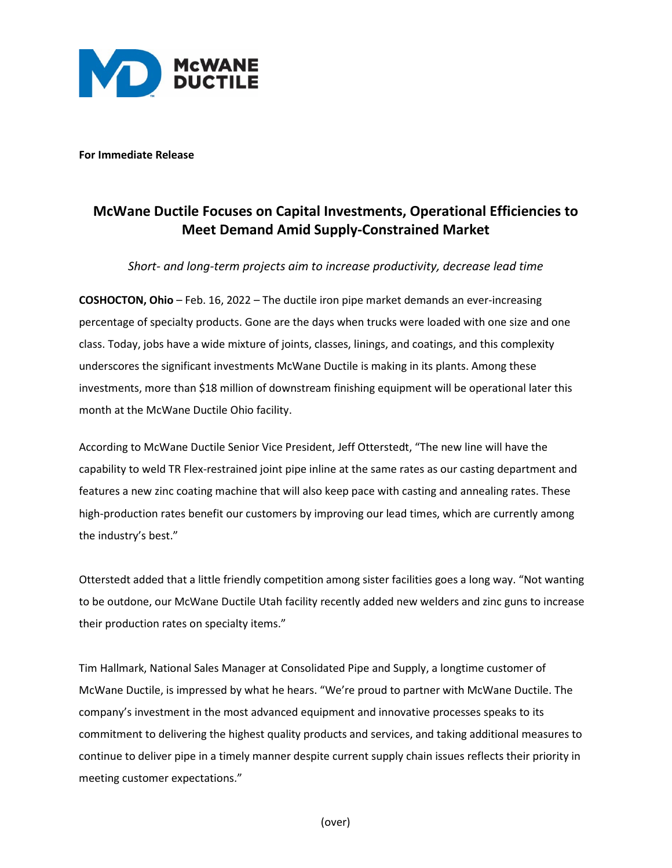

**For Immediate Release**

## **McWane Ductile Focuses on Capital Investments, Operational Efficiencies to Meet Demand Amid Supply-Constrained Market**

*Short- and long-term projects aim to increase productivity, decrease lead time*

**COSHOCTON, Ohio** – Feb. 16, 2022 – The ductile iron pipe market demands an ever-increasing percentage of specialty products. Gone are the days when trucks were loaded with one size and one class. Today, jobs have a wide mixture of joints, classes, linings, and coatings, and this complexity underscores the significant investments McWane Ductile is making in its plants. Among these investments, more than \$18 million of downstream finishing equipment will be operational later this month at the McWane Ductile Ohio facility.

According to McWane Ductile Senior Vice President, Jeff Otterstedt, "The new line will have the capability to weld TR Flex-restrained joint pipe inline at the same rates as our casting department and features a new zinc coating machine that will also keep pace with casting and annealing rates. These high-production rates benefit our customers by improving our lead times, which are currently among the industry's best."

Otterstedt added that a little friendly competition among sister facilities goes a long way. "Not wanting to be outdone, our McWane Ductile Utah facility recently added new welders and zinc guns to increase their production rates on specialty items."

Tim Hallmark, National Sales Manager at Consolidated Pipe and Supply, a longtime customer of McWane Ductile, is impressed by what he hears. "We're proud to partner with McWane Ductile. The company's investment in the most advanced equipment and innovative processes speaks to its commitment to delivering the highest quality products and services, and taking additional measures to continue to deliver pipe in a timely manner despite current supply chain issues reflects their priority in meeting customer expectations."